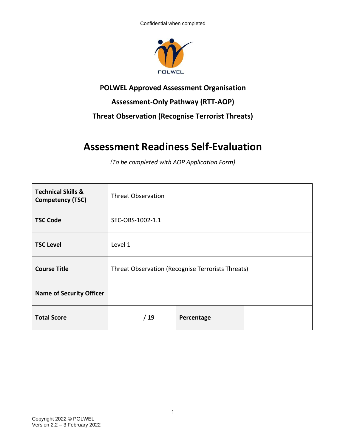

### **POLWEL Approved Assessment Organisation**

## **Assessment-Only Pathway (RTT-AOP)**

## **Threat Observation (Recognise Terrorist Threats)**

# **Assessment Readiness Self-Evaluation**

*(To be completed with AOP Application Form)*

| <b>Technical Skills &amp;</b><br><b>Competency (TSC)</b> | <b>Threat Observation</b>                         |            |  |
|----------------------------------------------------------|---------------------------------------------------|------------|--|
| <b>TSC Code</b>                                          | SEC-OBS-1002-1.1                                  |            |  |
| <b>TSC Level</b>                                         | Level 1                                           |            |  |
| <b>Course Title</b>                                      | Threat Observation (Recognise Terrorists Threats) |            |  |
| <b>Name of Security Officer</b>                          |                                                   |            |  |
| <b>Total Score</b>                                       | /19                                               | Percentage |  |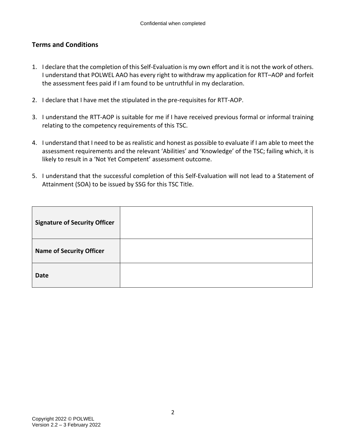#### **Terms and Conditions**

- 1. I declare that the completion of this Self-Evaluation is my own effort and it is not the work of others. I understand that POLWEL AAO has every right to withdraw my application for RTT–AOP and forfeit the assessment fees paid if I am found to be untruthful in my declaration.
- 2. I declare that I have met the stipulated in the pre-requisites for RTT-AOP.
- 3. I understand the RTT-AOP is suitable for me if I have received previous formal or informal training relating to the competency requirements of this TSC.
- 4. I understand that I need to be as realistic and honest as possible to evaluate if I am able to meet the assessment requirements and the relevant 'Abilities' and 'Knowledge' of the TSC; failing which, it is likely to result in a 'Not Yet Competent' assessment outcome.
- 5. I understand that the successful completion of this Self-Evaluation will not lead to a Statement of Attainment (SOA) to be issued by SSG for this TSC Title.

| <b>Signature of Security Officer</b> |  |
|--------------------------------------|--|
| <b>Name of Security Officer</b>      |  |
| <b>Date</b>                          |  |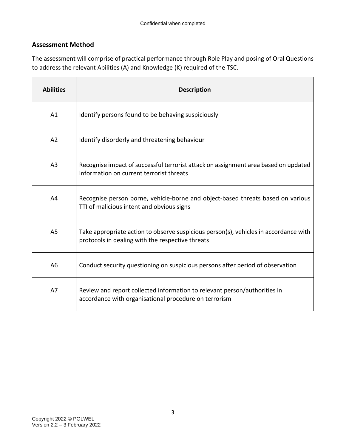### **Assessment Method**

The assessment will comprise of practical performance through Role Play and posing of Oral Questions to address the relevant Abilities (A) and Knowledge (K) required of the TSC.

| <b>Abilities</b> | <b>Description</b>                                                                                                                       |
|------------------|------------------------------------------------------------------------------------------------------------------------------------------|
| A1               | Identify persons found to be behaving suspiciously                                                                                       |
| A <sub>2</sub>   | Identify disorderly and threatening behaviour                                                                                            |
| A <sub>3</sub>   | Recognise impact of successful terrorist attack on assignment area based on updated<br>information on current terrorist threats          |
| A4               | Recognise person borne, vehicle-borne and object-based threats based on various<br>TTI of malicious intent and obvious signs             |
| A <sub>5</sub>   | Take appropriate action to observe suspicious person(s), vehicles in accordance with<br>protocols in dealing with the respective threats |
| A <sub>6</sub>   | Conduct security questioning on suspicious persons after period of observation                                                           |
| A7               | Review and report collected information to relevant person/authorities in<br>accordance with organisational procedure on terrorism       |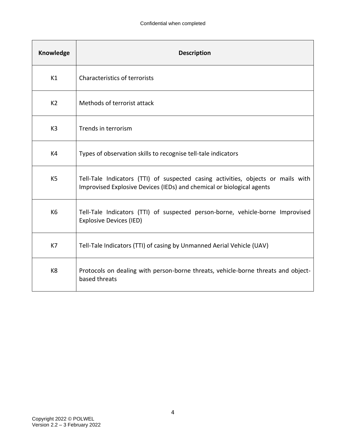| Knowledge      | <b>Description</b>                                                                                                                                        |
|----------------|-----------------------------------------------------------------------------------------------------------------------------------------------------------|
| K1             | <b>Characteristics of terrorists</b>                                                                                                                      |
| K <sub>2</sub> | Methods of terrorist attack                                                                                                                               |
| K <sub>3</sub> | Trends in terrorism                                                                                                                                       |
| K4             | Types of observation skills to recognise tell-tale indicators                                                                                             |
| K <sub>5</sub> | Tell-Tale Indicators (TTI) of suspected casing activities, objects or mails with<br>Improvised Explosive Devices (IEDs) and chemical or biological agents |
| K <sub>6</sub> | Tell-Tale Indicators (TTI) of suspected person-borne, vehicle-borne Improvised<br><b>Explosive Devices (IED)</b>                                          |
| K7             | Tell-Tale Indicators (TTI) of casing by Unmanned Aerial Vehicle (UAV)                                                                                     |
| K <sub>8</sub> | Protocols on dealing with person-borne threats, vehicle-borne threats and object-<br>based threats                                                        |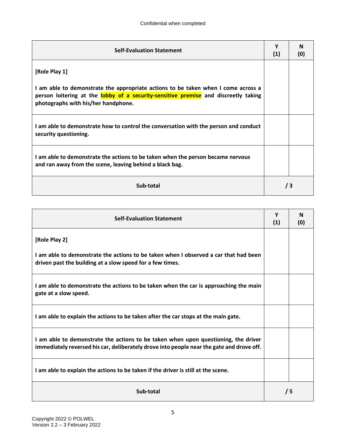| <b>Self-Evaluation Statement</b>                                                                                                                                                                                | Υ<br>(1) | N<br>(0) |
|-----------------------------------------------------------------------------------------------------------------------------------------------------------------------------------------------------------------|----------|----------|
| [Role Play 1]                                                                                                                                                                                                   |          |          |
| I am able to demonstrate the appropriate actions to be taken when I come across a<br>person loitering at the lobby of a security-sensitive premise and discreetly taking<br>photographs with his/her handphone. |          |          |
| I am able to demonstrate how to control the conversation with the person and conduct<br>security questioning.                                                                                                   |          |          |
| I am able to demonstrate the actions to be taken when the person became nervous<br>and ran away from the scene, leaving behind a black bag.                                                                     |          |          |
| Sub-total                                                                                                                                                                                                       |          | /3       |

| <b>Self-Evaluation Statement</b>                                                                                                                                                |  | N<br>(0) |
|---------------------------------------------------------------------------------------------------------------------------------------------------------------------------------|--|----------|
| [Role Play 2]                                                                                                                                                                   |  |          |
| I am able to demonstrate the actions to be taken when I observed a car that had been<br>driven past the building at a slow speed for a few times.                               |  |          |
| I am able to demonstrate the actions to be taken when the car is approaching the main<br>gate at a slow speed.                                                                  |  |          |
| I am able to explain the actions to be taken after the car stops at the main gate.                                                                                              |  |          |
| I am able to demonstrate the actions to be taken when upon questioning, the driver<br>immediately reversed his car, deliberately drove into people near the gate and drove off. |  |          |
| I am able to explain the actions to be taken if the driver is still at the scene.                                                                                               |  |          |
| Sub-total                                                                                                                                                                       |  | /5       |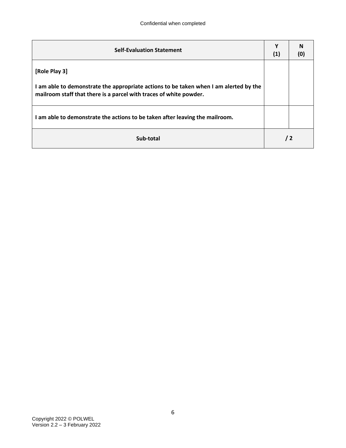| <b>Self-Evaluation Statement</b>                                                                                                                            |  | N<br>(0) |
|-------------------------------------------------------------------------------------------------------------------------------------------------------------|--|----------|
| [Role Play 3]                                                                                                                                               |  |          |
| I am able to demonstrate the appropriate actions to be taken when I am alerted by the<br>mailroom staff that there is a parcel with traces of white powder. |  |          |
| I am able to demonstrate the actions to be taken after leaving the mailroom.                                                                                |  |          |
| Sub-total                                                                                                                                                   |  | 72       |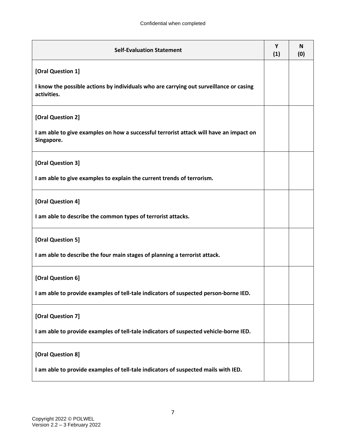| <b>Self-Evaluation Statement</b>                                                                      | Y<br>(1) | <b>N</b><br>(0) |
|-------------------------------------------------------------------------------------------------------|----------|-----------------|
| [Oral Question 1]                                                                                     |          |                 |
| I know the possible actions by individuals who are carrying out surveillance or casing<br>activities. |          |                 |
| [Oral Question 2]                                                                                     |          |                 |
| I am able to give examples on how a successful terrorist attack will have an impact on<br>Singapore.  |          |                 |
| [Oral Question 3]                                                                                     |          |                 |
| I am able to give examples to explain the current trends of terrorism.                                |          |                 |
| [Oral Question 4]                                                                                     |          |                 |
| I am able to describe the common types of terrorist attacks.                                          |          |                 |
| [Oral Question 5]                                                                                     |          |                 |
| I am able to describe the four main stages of planning a terrorist attack.                            |          |                 |
| [Oral Question 6]                                                                                     |          |                 |
| I am able to provide examples of tell-tale indicators of suspected person-borne IED.                  |          |                 |
| [Oral Question 7]                                                                                     |          |                 |
| I am able to provide examples of tell-tale indicators of suspected vehicle-borne IED.                 |          |                 |
| [Oral Question 8]                                                                                     |          |                 |
| I am able to provide examples of tell-tale indicators of suspected mails with IED.                    |          |                 |